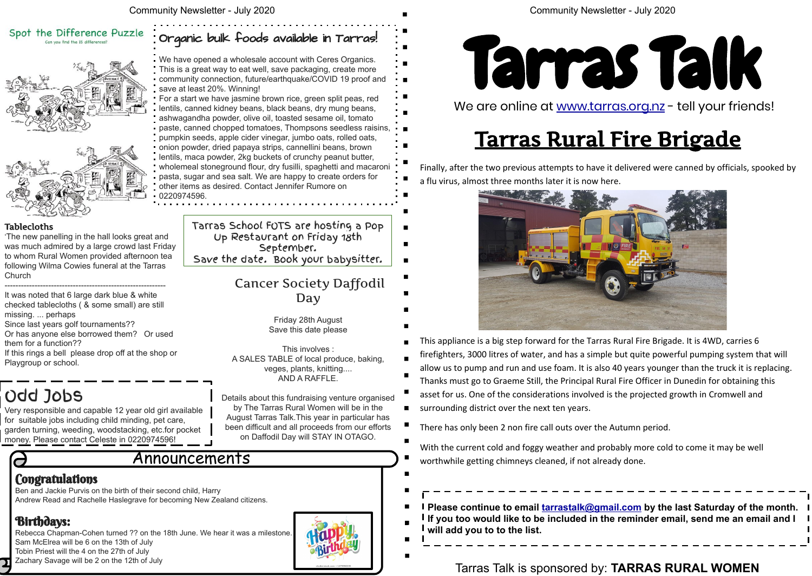## Tarras Rural Fire Brigade

Finally, after the two previous attempts to have it delivered were canned by officials, spooked by a flu virus, almost three months later it is now here.



allow us to pump and run and use foam. It is also 40 years younger than the truck it is replacing.

**Please to by the last Saturday of the month. reminder email, send me an email and I** 

- This appliance is a big step forward for the Tarras Rural Fire Brigade. It is 4WD, carries 6
- firefighters, 3000 litres of water, and has a simple but quite powerful pumping system that will
- Thanks must go to Graeme Still, the Principal Rural Fire Officer in Dunedin for obtaining this
- asset for us. One of the considerations involved is the projected growth in Cromwell and
- surrounding district over the next ten years.
- There has only been 2 non fire call outs over the Autumn period.

With the current cold and foggy weather and probably more cold to come it may be well worthwhile getting chimneys cleaned, if not already done.

Ben and Jackie Purvis on the birth of their second child, Harry Andrew Read and Rachelle Haslegrave for becoming New Zealand citizens.

#### Birthdays:

Rebecca Chapman-Cohen turned ?? on the 18th June. We hear it was a milestone. Sam McElrea will be 6 on the 13th of July Tobin Priest will the 4 on the 27th of July Zachary Savage will be 2 on the 12th of July



#### Community Newsletter - July 2020

#### Announcements

#### **Congratulations**

### Spot the Difference Puzzle





'The new panelling in the hall looks great and was much admired by a large crowd last Friday to whom Rural Women provided afternoon tea following Wilma Cowies funeral at the Tarras **Church** 

| I Please continue to email tarrastalk@gmail   |
|-----------------------------------------------|
| I If you too would like to be included in the |
| will add you to to the list.                  |
|                                               |

#### Tarras Talk is sponsored by: **TARRAS RURAL WOMEN**



We are online at [www.tarras.org.nz](http://www.tarras.org.nz) - tell your friends!

#### Organic bulk foods available in Tarras!

We have opened a wholesale account with Ceres Organics. This is a great way to eat well, save packaging, create more community connection, future/earthquake/COVID 19 proof and save at least 20%. Winning!

For a start we have jasmine brown rice, green split peas, red lentils, canned kidney beans, black beans, dry mung beans, ashwagandha powder, olive oil, toasted sesame oil, tomato paste, canned chopped tomatoes, Thompsons seedless raisins, pumpkin seeds, apple cider vinegar, jumbo oats, rolled oats, onion powder, dried papaya strips, cannellini beans, brown lentils, maca powder, 2kg buckets of crunchy peanut butter, wholemeal stoneground flour, dry fusilli, spaghetti and macaroni pasta, sugar and sea salt. We are happy to create orders for other items as desired. Contact Jennifer Rumore on 0220974596.

### Odd Jobs

Very responsible and capable 12 year old girl available for suitable jobs including child minding, pet care, garden turning, weeding, woodstacking, etc.for pocket money. Please contact Celeste in 0220974596!

#### Tablecloths

----------------------------------------------------------- It was noted that 6 large dark blue & white checked tablecloths ( & some small) are still missing. ... perhaps

Since last years golf tournaments??

Or has anyone else borrowed them? Or used them for a function??

If this rings a bell please drop off at the shop or Playgroup or school.

#### Cancer Society Daffodil Day

Friday 28th August Save this date please

This involves : A SALES TABLE of local produce, baking, veges, plants, knitting.... AND A RAFFLE.

Details about this fundraising venture organised by The Tarras Rural Women will be in the August Tarras Talk.This year in particular has been difficult and all proceeds from our efforts on Daffodil Day will STAY IN OTAGO.

Tarras School FOTS are hosting a Pop Up Restaurant on Friday 18th September. Save the date. Book your babysitter.